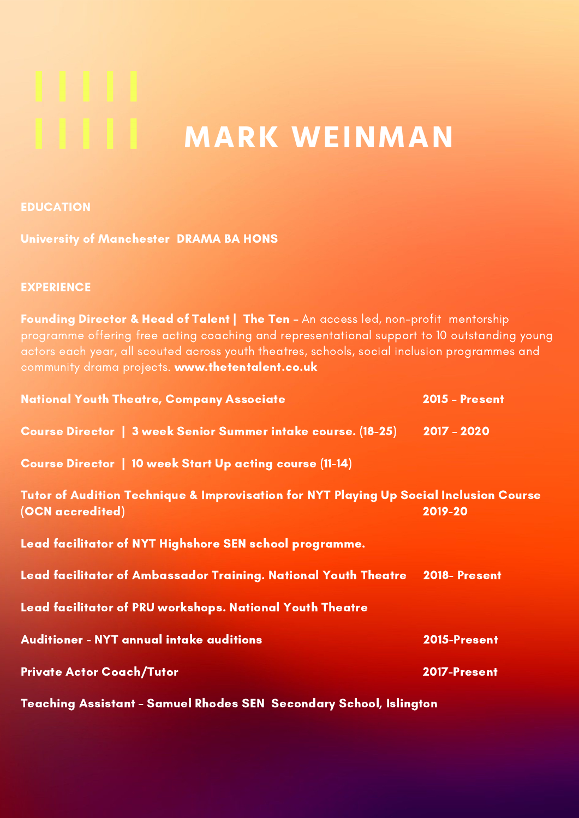# **MARK WEINMAN**

# EDUCATION

University of Manchester DRAMA BA HONS

# **EXPERIENCE**

Founding Director & Head of Talent | The Ten - An access led, non-profit mentorship programme offering free acting coaching and representational support to 10 outstanding young actors each year, all scouted across youth theatres, schools, social inclusion programmes and community drama projects. www.thetentalent.co.uk

| <b>National Youth Theatre, Company Associate</b>                                                           | <b>2015 - Present</b> |
|------------------------------------------------------------------------------------------------------------|-----------------------|
| Course Director   3 week Senior Summer intake course. (18-25)                                              | $2017 - 2020$         |
| Course Director   10 week Start Up acting course (11-14)                                                   |                       |
| Tutor of Audition Technique & Improvisation for NYT Playing Up Social Inclusion Course<br>(OCN accredited) | 2019-20               |
| Lead facilitator of NYT Highshore SEN school programme.                                                    |                       |
| Lead facilitator of Ambassador Training. National Youth Theatre 2018- Present                              |                       |
| Lead facilitator of PRU workshops. National Youth Theatre                                                  |                       |
| <b>Auditioner - NYT annual intake auditions</b>                                                            | 2015-Present          |
| <b>Private Actor Coach/Tutor</b>                                                                           | 2017-Present          |
| <b>Teaching Assistant - Samuel Rhodes SEN Secondary School, Islington</b>                                  |                       |